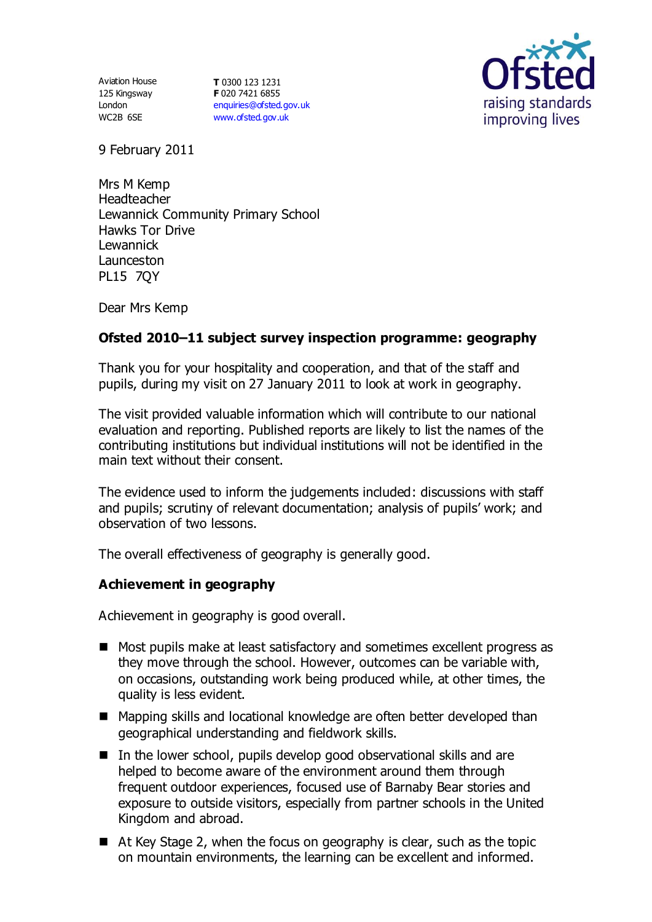Aviation House 125 Kingsway London WC2B 6SE

**T** 0300 123 1231 **F** 020 7421 6855 [enquiries@ofsted.gov.uk](mailto:enquiries@ofsted.gov.uk) [www.ofsted.gov.uk](http://www.ofsted.gov.uk/)



9 February 2011

Mrs M Kemp Headteacher Lewannick Community Primary School Hawks Tor Drive Lewannick Launceston PL15 7QY

Dear Mrs Kemp

# **Ofsted 2010–11 subject survey inspection programme: geography**

Thank you for your hospitality and cooperation, and that of the staff and pupils, during my visit on 27 January 2011 to look at work in geography.

The visit provided valuable information which will contribute to our national evaluation and reporting. Published reports are likely to list the names of the contributing institutions but individual institutions will not be identified in the main text without their consent.

The evidence used to inform the judgements included: discussions with staff and pupils; scrutiny of relevant documentation; analysis of pupils' work; and observation of two lessons.

The overall effectiveness of geography is generally good.

## **Achievement in geography**

Achievement in geography is good overall.

- Most pupils make at least satisfactory and sometimes excellent progress as they move through the school. However, outcomes can be variable with, on occasions, outstanding work being produced while, at other times, the quality is less evident.
- Mapping skills and locational knowledge are often better developed than geographical understanding and fieldwork skills.
- $\blacksquare$  In the lower school, pupils develop good observational skills and are helped to become aware of the environment around them through frequent outdoor experiences, focused use of Barnaby Bear stories and exposure to outside visitors, especially from partner schools in the United Kingdom and abroad.
- At Key Stage 2, when the focus on geography is clear, such as the topic on mountain environments, the learning can be excellent and informed.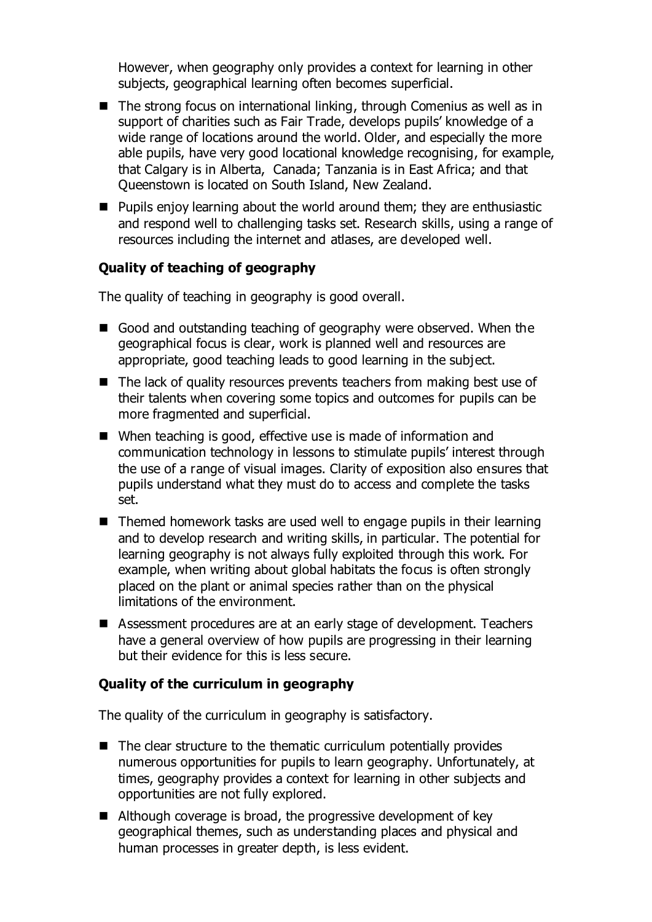However, when geography only provides a context for learning in other subjects, geographical learning often becomes superficial.

- The strong focus on international linking, through Comenius as well as in support of charities such as Fair Trade, develops pupils' knowledge of a wide range of locations around the world. Older, and especially the more able pupils, have very good locational knowledge recognising, for example, that Calgary is in Alberta, Canada; Tanzania is in East Africa; and that Queenstown is located on South Island, New Zealand.
- Pupils enjoy learning about the world around them; they are enthusiastic and respond well to challenging tasks set. Research skills, using a range of resources including the internet and atlases, are developed well.

#### **Quality of teaching of geography**

The quality of teaching in geography is good overall.

- Good and outstanding teaching of geography were observed. When the geographical focus is clear, work is planned well and resources are appropriate, good teaching leads to good learning in the subject.
- The lack of quality resources prevents teachers from making best use of their talents when covering some topics and outcomes for pupils can be more fragmented and superficial.
- When teaching is good, effective use is made of information and communication technology in lessons to stimulate pupils' interest through the use of a range of visual images. Clarity of exposition also ensures that pupils understand what they must do to access and complete the tasks set.
- Themed homework tasks are used well to engage pupils in their learning and to develop research and writing skills, in particular. The potential for learning geography is not always fully exploited through this work. For example, when writing about global habitats the focus is often strongly placed on the plant or animal species rather than on the physical limitations of the environment.
- Assessment procedures are at an early stage of development. Teachers have a general overview of how pupils are progressing in their learning but their evidence for this is less secure.

## **Quality of the curriculum in geography**

The quality of the curriculum in geography is satisfactory.

- $\blacksquare$  The clear structure to the thematic curriculum potentially provides numerous opportunities for pupils to learn geography. Unfortunately, at times, geography provides a context for learning in other subjects and opportunities are not fully explored.
- Although coverage is broad, the progressive development of key geographical themes, such as understanding places and physical and human processes in greater depth, is less evident.